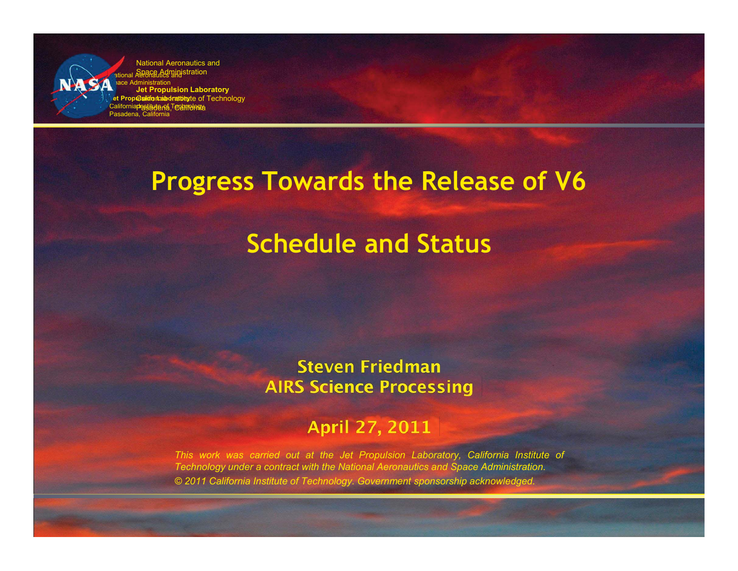**Mational Aeronautics and** ace Administration **Jet Propulsikim Insightatory** California Prastitute not Technology Pasadena, California National Aeronautics and Space Administration **John Laboratory California Institute of Technology** Prastadena, California **Nation**  $\Box$ **Pr Califor** Pasad

## **Progress Towards the Release of V6**

# **Schedule and Status**

#### **Steven Friedman AIRS Science Processing**

## **April 27, 2011**

*This work was carried out at the Jet Propulsion Laboratory, California Institute of Technology under a contract with the National Aeronautics and Space Administration. © 2011 California Institute of Technology. Government sponsorship acknowledged.*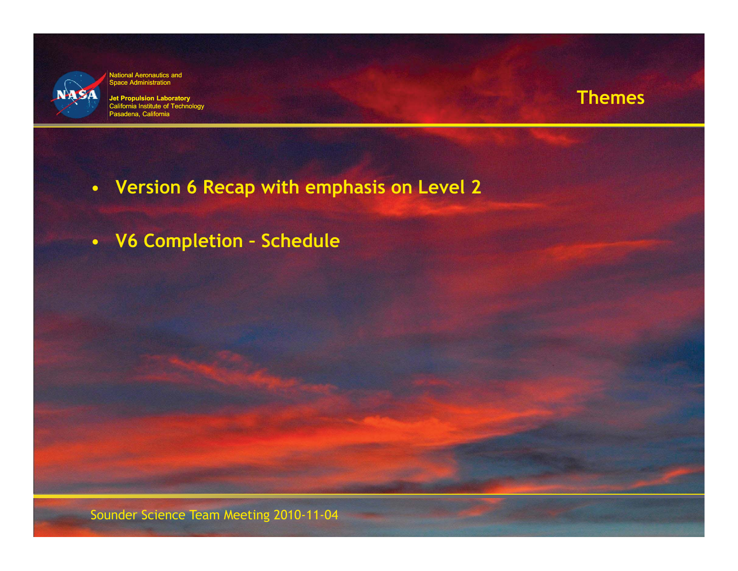

**Jet Propulsion Laboratory** California Institute of Technology a, California

#### **Themes**

- **Version 6 Recap with emphasis on Level 2**
- **V6 Completion Schedule**

Sounder Science Team Meeting 2010-11-04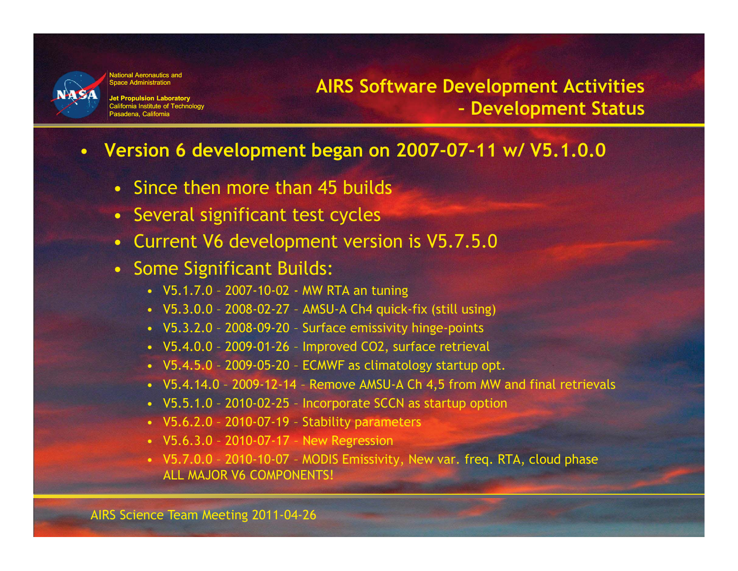

**Jet Propulsion Laboratory** California Institute of Technology Pasadena, California

### **AIRS Software Development Activities – Development Status**

#### • **Version 6 development began on 2007-07-11 w/ V5.1.0.0**

- Since then more than 45 builds
- Several significant test cycles
- Current V6 development version is V5.7.5.0
- Some Significant Builds:
	- V5.1.7.0 2007-10-02 MW RTA an tuning
	- V5.3.0.0 2008-02-27 AMSU-A Ch4 quick-fix (still using)
	- V5.3.2.0 2008-09-20 Surface emissivity hinge-points
	- V5.4.0.0 2009-01-26 Improved CO2, surface retrieval
	- V5.4.5.0 2009-05-20 ECMWF as climatology startup opt.
	- V5.4.14.0 2009-12-14 Remove AMSU-A Ch 4,5 from MW and final retrievals
	- V5.5.1.0 2010-02-25 Incorporate SCCN as startup option
	- V5.6.2.0 2010-07-19 Stability parameters
	- V5.6.3.0 2010-07-17 New Regression
	- V5.7.0.0 2010-10-07 MODIS Emissivity, New var. freq. RTA, cloud phase ALL MAJOR V6 COMPONENTS!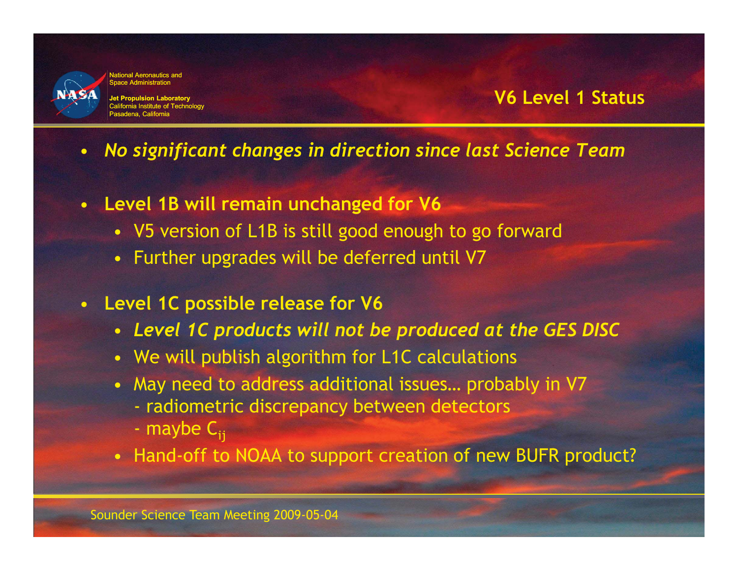

**Jet Propulsion Laboratory** California Institute of Technology Pasadena, California

#### **V6 Level 1 Status**

- *No significant changes in direction since last Science Team*
- **Level 1B will remain unchanged for V6** 
	- V5 version of L1B is still good enough to go forward
	- Further upgrades will be deferred until V7
- **Level 1C possible release for V6** 
	- *Level 1C products will not be produced at the GES DISC*
	- We will publish algorithm for L1C calculations
	- May need to address additional issues… probably in V7
		- radiometric discrepancy between detectors
		- maybe  $C_{ii}$
	- Hand-off to NOAA to support creation of new BUFR product?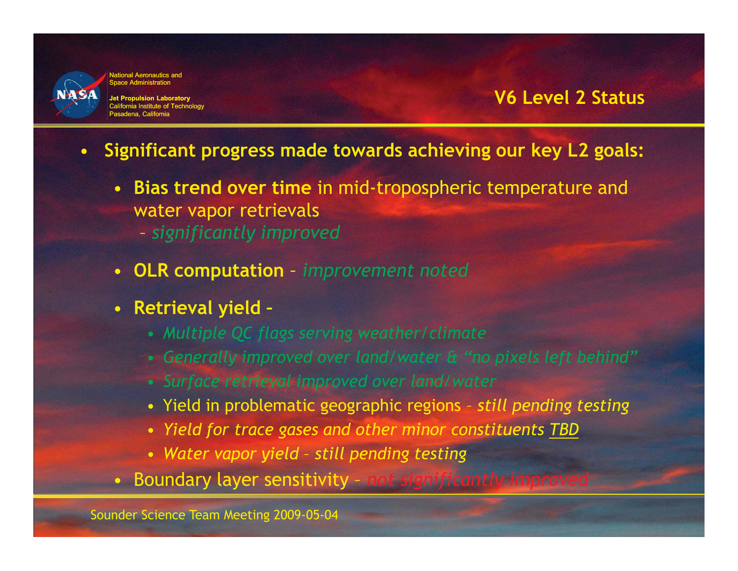

**Jet Propulsion Laboratory** California Institute of Technology Pasadena, California

#### **V6 Level 2 Status**

- **Significant progress made towards achieving our key L2 goals:** 
	- **Bias trend over time** in mid-tropospheric temperature and water vapor retrievals
		- *significantly improved*
	- **OLR computation**  *improvement noted*
	- **Retrieval yield** 
		- *Multiple QC flags serving weather/climate*
		- *Generally improved over land/water & "no pixels left behind"*
		- *Surface retrieval improved over land/water*
		- Yield in problematic geographic regions *still pending testing*
		- *Yield for trace gases and other minor constituents TBD*
		- *Water vapor yield still pending testing*
	- Boundary layer sensitivity *not significantly improved*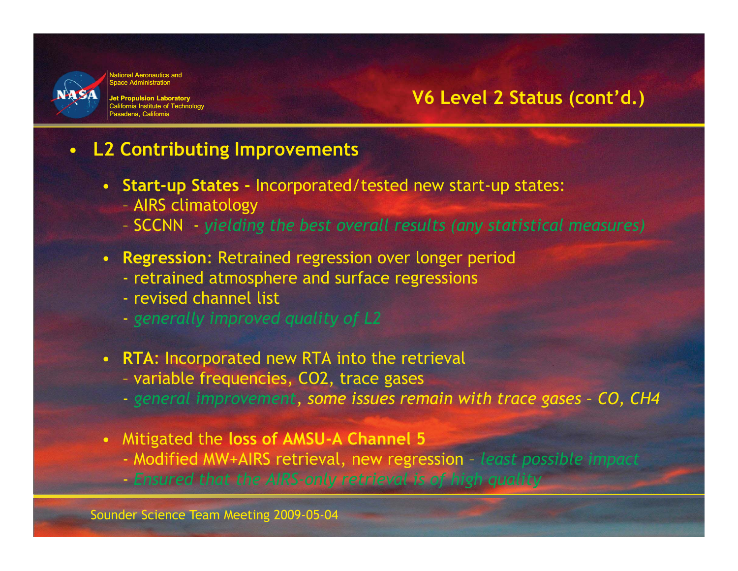

**Jet Propulsion Laboratory** California Institute of Technology Pasadena, California

#### **V6 Level 2 Status (cont'd.)**

#### • **L2 Contributing Improvements**

- **Start-up States** Incorporated/tested new start-up states:
	- AIRS climatology
	- SCCNN *yielding the best overall results (any statistical measures)*
- **Regression**: Retrained regression over longer period
	- retrained atmosphere and surface regressions
	- revised channel list
	- *generally improved quality of L2*
- **RTA**: Incorporated new RTA into the retrieval
	- variable frequencies, CO2, trace gases
	- *general improvement, some issues remain with trace gases CO, CH4*
- Mitigated the **loss of AMSU-A Channel 5**
	- Modified MW+AIRS retrieval, new regression *least possible impact*
	- *Ensured that the AIRS-only retrieval is of high quality*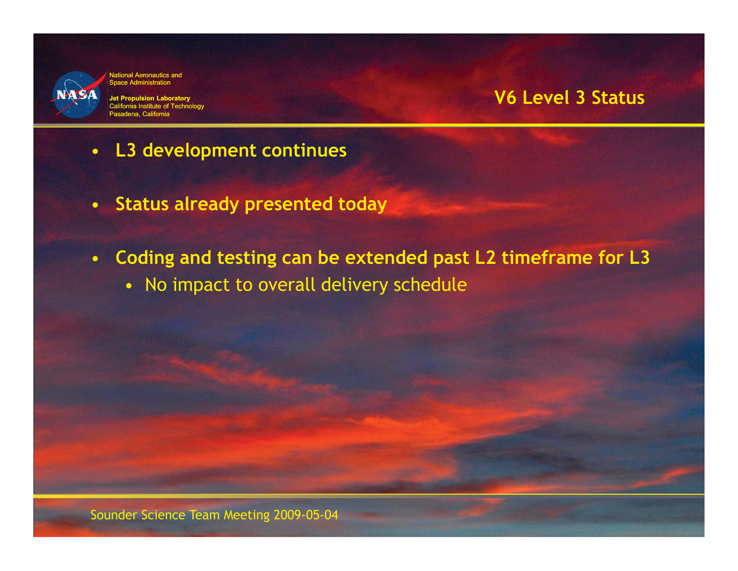

**Jet Propulsion Laboratory** California Institute of Technology Pasadena, California

#### **V6 Level 3 Status**

- **L3 development continues**
- **Status already presented today**
- **Coding and testing can be extended past L2 timeframe for L3** 
	- No impact to overall delivery schedule

Sounder Science Team Meeting 2009-05-04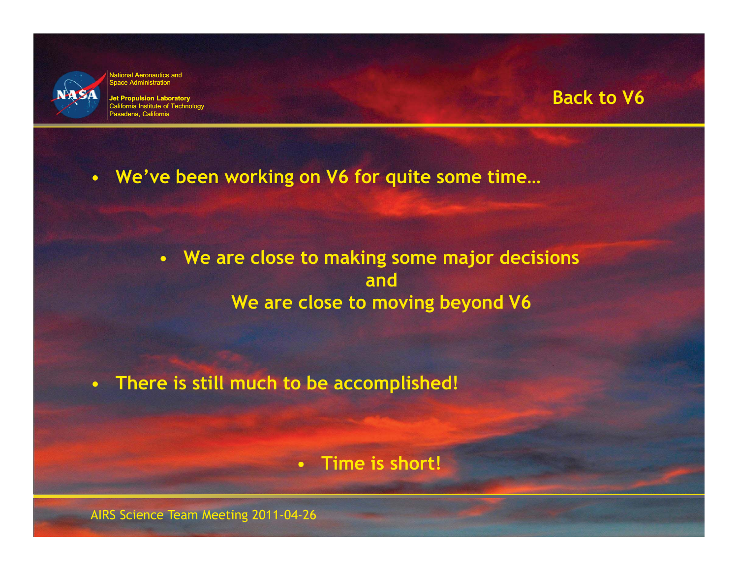

**Jet Propulsion Laboratory** California Institute of Technology Pasadena, California

#### **Back to V6**

• **We've been working on V6 for quite some time…** 

• **We are close to making some major decisions and We are close to moving beyond V6** 

• **There is still much to be accomplished!** 

• **Time is short!** 

AIRS Science Team Meeting 2011-04-26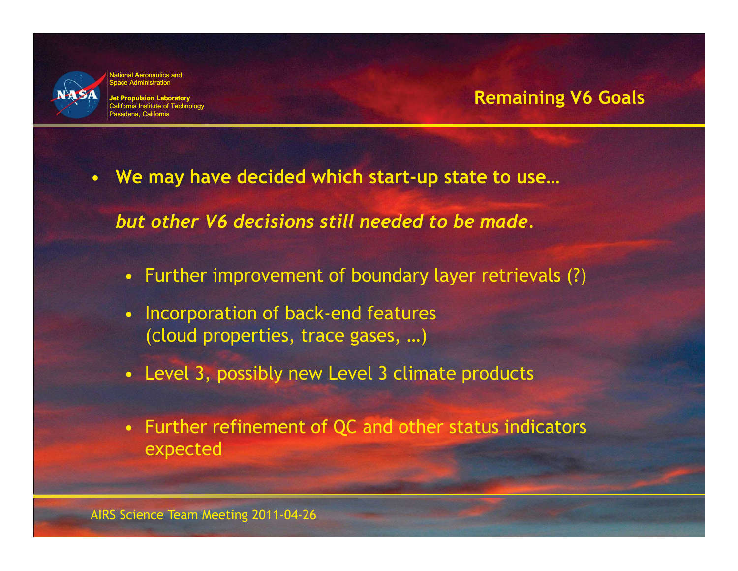

**Jet Propulsion Laboratory** California Institute of Technology Pasadena, California

#### **Remaining V6 Goals**

• **We may have decided which start-up state to use…** 

*but other V6 decisions still needed to be made.* 

- Further improvement of boundary layer retrievals (?)
- Incorporation of back-end features (cloud properties, trace gases, …)
- Level 3, possibly new Level 3 climate products
- Further refinement of QC and other status indicators expected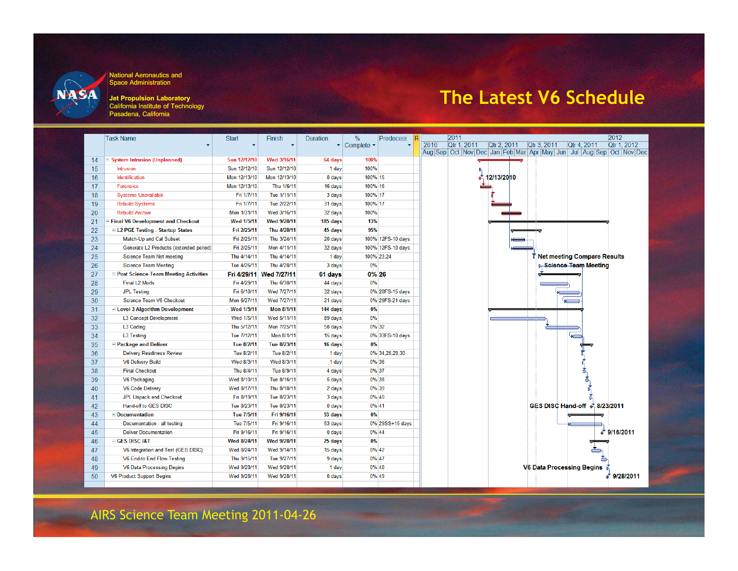

**Jet Propulsion Laboratory** California Institute of Technology Pasadena, California

## **The Latest V6 Schedule**

|    | <b>Task Name</b>                              | <b>Start</b>       | Finish                  | Duration          | %                        | <b>Predecess</b>  | 2011<br>2012                                                                    |
|----|-----------------------------------------------|--------------------|-------------------------|-------------------|--------------------------|-------------------|---------------------------------------------------------------------------------|
|    |                                               |                    |                         |                   | $\cdot$ Complete $\cdot$ |                   | 2010<br>Qtr 1, 2011<br>Qtr 2, 2011<br>Qtr 3, 2011<br>Otr 4, 2011<br>Qtr 1, 2012 |
|    |                                               |                    |                         |                   |                          |                   | Aug Sep Oct Nov Dec Jan Feb Mar Apr May Jun Jul Aug Sep Oct Nov Dec             |
| 14 | System Intrusion (Unplanned)                  | Sun 12/12/10       | Wed 3/16/11             | 64 days           | 100%                     |                   |                                                                                 |
| 15 | Intrusion                                     | Sun 12/12/10       | Sun 12/12/10            | 1 day             | 100%                     |                   |                                                                                 |
| 16 | Identification                                | Mon 12/13/10       | Mon 12/13/10            | 0 <sub>days</sub> | 100% 15                  |                   | 12/13/2010                                                                      |
| 17 | <b>Forensics</b>                              | Mon 12/13/10       | Thu 1/6/11              | 16 days           | 100% 16                  |                   |                                                                                 |
| 18 | <b>Systems Unavailable</b>                    | Fri 1/7/11         | Tue 1/11/11             | 3 days            | 100% 17                  |                   |                                                                                 |
| 19 | <b>Rebuild Systems</b>                        | Fri 1/7/11         | Tue 2/22/11             | 31 days           | 100% 17                  |                   |                                                                                 |
| 20 | <b>Rebuild Archive</b>                        | Mon 1/31/11        | Wed 3/16/11             | 32 days           | 100%                     |                   |                                                                                 |
| 21 | Final V6 Development and Checkout             | <b>Wed 1/5/11</b>  | Wed 9/28/11             | 185 days          | 13%                      |                   |                                                                                 |
| 22 | <b>EL2 PGE Testing - Startup States</b>       | Fri 2/25/11        | Thu 4/28/11             | 45 days           | 95%                      |                   |                                                                                 |
| 23 | Match-Up and Cal Subset                       | Fri 2/25/11        | Thu 3/24/11             | 20 days           |                          | 100% 12FS-10 days |                                                                                 |
| 24 | Generate L2 Products (extended period)        | Fri 2/25/11        | Mon 4/11/11             | 32 days           |                          | 100% 12FS-10 days |                                                                                 |
| 25 | <b>Science Team Net meeting</b>               | Thu 4/14/11        | Thu 4/14/11             | 1 day             |                          | 100% 23.24        | Net meeting Compare Results                                                     |
| 26 | <b>Science Team Meeting</b>                   | Tue 4/26/11        | Thu 4/28/11             | 3 days            | 0%                       |                   | <b>I. Science Team Meeting</b>                                                  |
| 27 | <b>E Post Science Team Meeting Activities</b> |                    | Fri 4/29/11 Wed 7/27/11 | 61 days           | 0% 26                    |                   |                                                                                 |
| 28 | <b>Final L2 Mods</b>                          | Fri 4/29/11        | Thu 6/30/11             | 44 days           | 0%                       |                   |                                                                                 |
| 29 | <b>JPL Testing</b>                            | Fri 6/10/11        | Wed 7/27/11             | 32 days           |                          | 0% 28FS-15 days   |                                                                                 |
| 30 | Science Team V6 Checkout                      | Mon 6/27/11        | Wed 7/27/11             | 21 days           |                          | 0% 29FS-21 days   |                                                                                 |
| 31 | E Level 3 Algorithm Development               | <b>Wed 1/5/11</b>  | <b>Mon 8/1/11</b>       | 144 days          | 0%                       |                   |                                                                                 |
| 32 | <b>L3 Concept Development</b>                 | Wed 1/5/11         | Wed 5/11/11             | 89 days           | 0%                       |                   |                                                                                 |
| 33 | L3 Coding                                     | Thu 5/12/11        | Mon 7/25/11             | 50 days           |                          | 0% 32             |                                                                                 |
| 34 | <b>L3 Testing</b>                             | Tue 7/12/11        | Mon 8/1/11              | 15 days           |                          | 0% 33FS-10 days   |                                                                                 |
| 35 | <b>E Package and Deliver</b>                  | Tue 8/2/11         | Tue 8/23/11             | 16 days           | 0%                       |                   |                                                                                 |
| 36 | <b>Delivery Readiness Review</b>              | Tue 8/2/11         | Tue 8/2/11              | 1 day             |                          | 0% 34, 26, 29, 30 |                                                                                 |
| 37 | <b>V6 Delivery Build</b>                      | Wed 8/3/11         | Wed 8/3/11              | 1 day             |                          | 0% 36             |                                                                                 |
| 38 | <b>Final Checkout</b>                         | Thu 8/4/11         | Tue 8/9/11              | 4 days            |                          | 0% 37             |                                                                                 |
| 39 | <b>V6 Packaging</b>                           | Wed 8/10/11        | Tue 8/16/11             | 5 days            |                          | 0% 38             |                                                                                 |
| 40 | <b>V6 Code Deliverv</b>                       | Wed 8/17/11        | Thu 8/18/11             | 2 days            |                          | 0% 39             |                                                                                 |
| 41 | <b>JPL Unpack and Checkout</b>                | Fri 8/19/11        | Tue 8/23/11             | 3 days            |                          | 0% 40             |                                                                                 |
| 42 | Hand-off to GES DISC                          | Tue 8/23/11        | Tue 8/23/11             | $0$ days          |                          | 0% 41             | GES DISC Hand-off * 8/23/2011                                                   |
| 43 | $\equiv$ Documentation                        | Tue 7/5/11         | Fri 9/16/11             | 53 days           | 0%                       |                   |                                                                                 |
| 44 | Documentation - all testing                   | Tue 7/5/11         | Fri 9/16/11             | 53 days           |                          | 0% 29SS+15 days   |                                                                                 |
| 45 | <b>Deliver Documentation</b>                  | Fri 9/16/11        | Fri 9/16/11             | $0$ days          |                          | 0% 44             | $\sqrt[3]{9/16/2011}$                                                           |
| 46 | <b>EIGES DISC 18T</b>                         | <b>Wed 8/24/11</b> | Wed 9/28/11             | 25 days           | 0%                       |                   |                                                                                 |
| 47 | V6 Integration and Test (GES DISC)            | Wed 8/24/11        | Wed 9/14/11             | 15 days           |                          | 0% 42             |                                                                                 |
| 48 | V6 End-to End Flow Testing                    | Thu 9/15/11        | Tue 9/27/11             | 9 days            |                          | 0% 47             |                                                                                 |
| 49 | <b>V6 Data Processing Begins</b>              | Wed 9/28/11        | Wed 9/28/11             | 1 day             |                          | 0% 48             | <b>V6 Data Processing Begins</b>                                                |
| 50 | <b>V6 Product Support Begins</b>              | Wed 9/28/11        | Wed 9/28/11             | 0 <sub>days</sub> |                          | 0% 49             | 9/28/2011                                                                       |
|    |                                               |                    |                         |                   |                          |                   |                                                                                 |

AIRS Science Team Meeting 2011-04-26